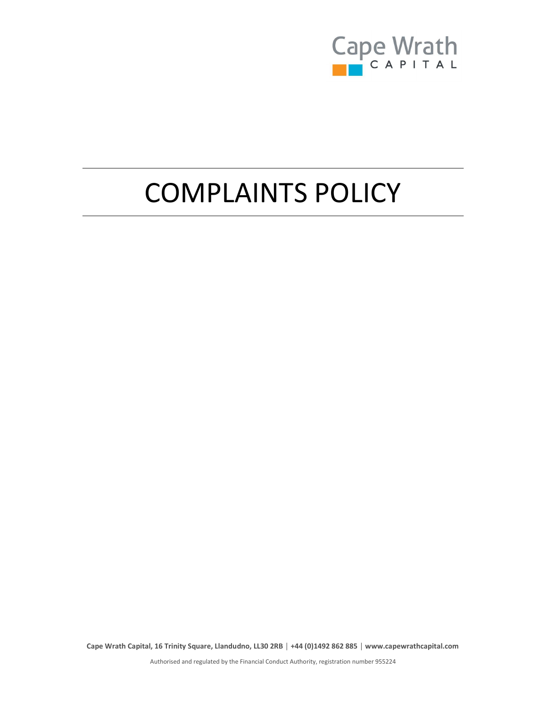

# COMPLAINTS POLICY

Cape Wrath Capital, 16 Trinity Square, Llandudno, LL30 2RB │ +44 (0)1492 862 885 │ www.capewrathcapital.com

Authorised and regulated by the Financial Conduct Authority, registration number 955224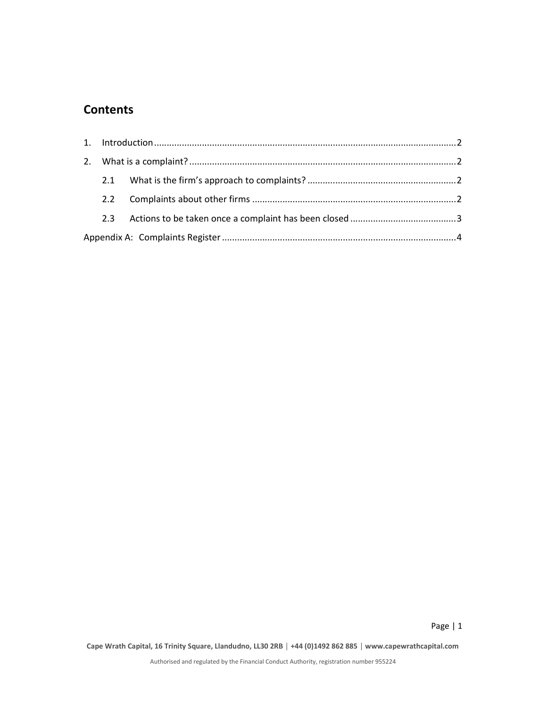## **Contents**

| 2.2     |  |  |  |  |  |  |
|---------|--|--|--|--|--|--|
| $2.3 -$ |  |  |  |  |  |  |
|         |  |  |  |  |  |  |

Page | 1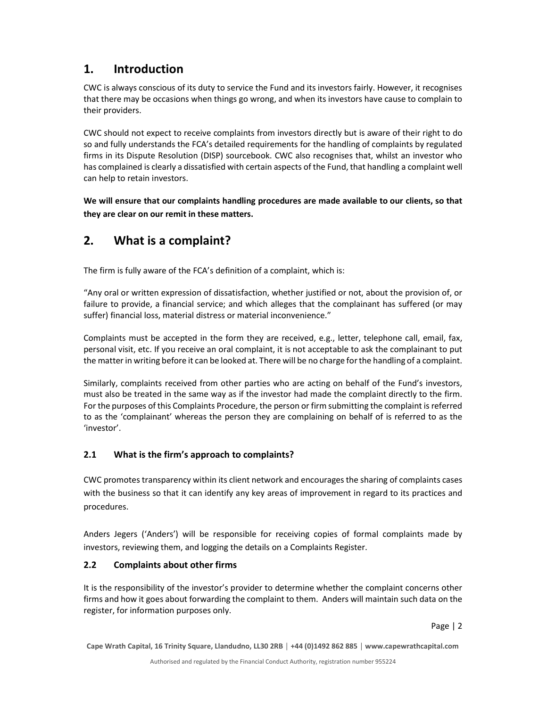### 1. Introduction

CWC is always conscious of its duty to service the Fund and its investors fairly. However, it recognises that there may be occasions when things go wrong, and when its investors have cause to complain to their providers.

CWC should not expect to receive complaints from investors directly but is aware of their right to do so and fully understands the FCA's detailed requirements for the handling of complaints by regulated firms in its Dispute Resolution (DISP) sourcebook. CWC also recognises that, whilst an investor who has complained is clearly a dissatisfied with certain aspects of the Fund, that handling a complaint well can help to retain investors.

We will ensure that our complaints handling procedures are made available to our clients, so that they are clear on our remit in these matters.

# 2. What is a complaint?

The firm is fully aware of the FCA's definition of a complaint, which is:

"Any oral or written expression of dissatisfaction, whether justified or not, about the provision of, or failure to provide, a financial service; and which alleges that the complainant has suffered (or may suffer) financial loss, material distress or material inconvenience."

Complaints must be accepted in the form they are received, e.g., letter, telephone call, email, fax, personal visit, etc. If you receive an oral complaint, it is not acceptable to ask the complainant to put the matter in writing before it can be looked at. There will be no charge for the handling of a complaint.

Similarly, complaints received from other parties who are acting on behalf of the Fund's investors, must also be treated in the same way as if the investor had made the complaint directly to the firm. For the purposes of this Complaints Procedure, the person or firm submitting the complaint is referred to as the 'complainant' whereas the person they are complaining on behalf of is referred to as the 'investor'.

#### 2.1 What is the firm's approach to complaints?

CWC promotes transparency within its client network and encourages the sharing of complaints cases with the business so that it can identify any key areas of improvement in regard to its practices and procedures.

Anders Jegers ('Anders') will be responsible for receiving copies of formal complaints made by investors, reviewing them, and logging the details on a Complaints Register.

#### 2.2 Complaints about other firms

It is the responsibility of the investor's provider to determine whether the complaint concerns other firms and how it goes about forwarding the complaint to them. Anders will maintain such data on the register, for information purposes only.

Page | 2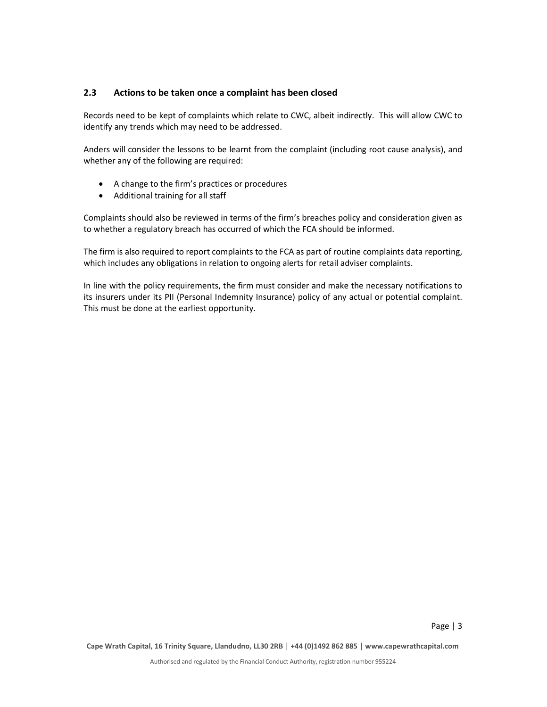#### 2.3 Actions to be taken once a complaint has been closed

Records need to be kept of complaints which relate to CWC, albeit indirectly. This will allow CWC to identify any trends which may need to be addressed.

Anders will consider the lessons to be learnt from the complaint (including root cause analysis), and whether any of the following are required:

- A change to the firm's practices or procedures
- Additional training for all staff

Complaints should also be reviewed in terms of the firm's breaches policy and consideration given as to whether a regulatory breach has occurred of which the FCA should be informed.

The firm is also required to report complaints to the FCA as part of routine complaints data reporting, which includes any obligations in relation to ongoing alerts for retail adviser complaints.

In line with the policy requirements, the firm must consider and make the necessary notifications to its insurers under its PII (Personal Indemnity Insurance) policy of any actual or potential complaint. This must be done at the earliest opportunity.

Page | 3